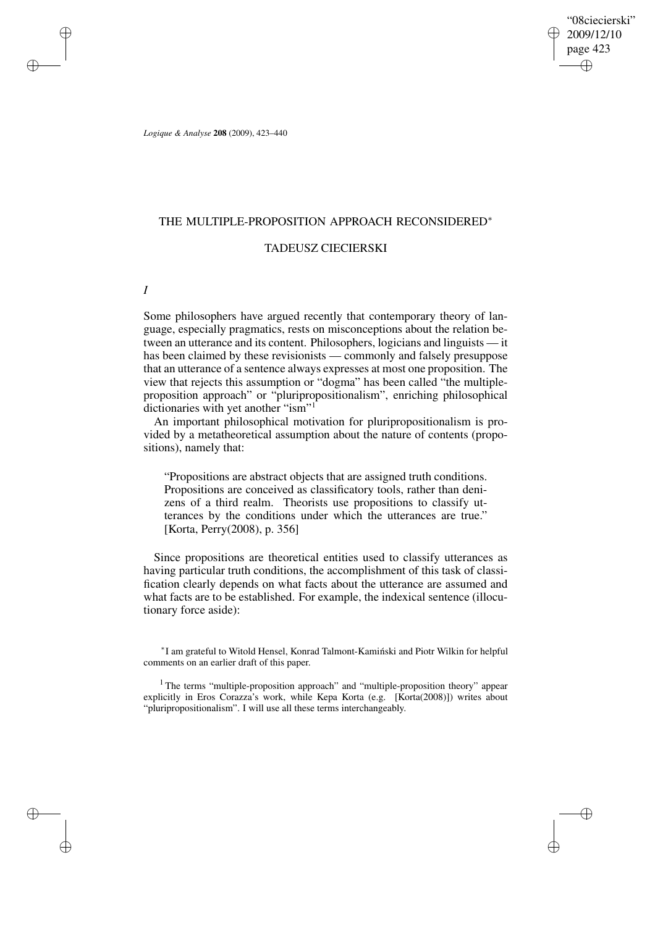"08ciecierski" 2009/12/10 page 423 ✐ ✐

✐

✐

*Logique & Analyse* **208** (2009), 423–440

## THE MULTIPLE-PROPOSITION APPROACH RECONSIDERED<sup>∗</sup>

# TADEUSZ CIECIERSKI

*I*

✐

✐

✐

✐

Some philosophers have argued recently that contemporary theory of language, especially pragmatics, rests on misconceptions about the relation between an utterance and its content. Philosophers, logicians and linguists — it has been claimed by these revisionists — commonly and falsely presuppose that an utterance of a sentence always expresses at most one proposition. The view that rejects this assumption or "dogma" has been called "the multipleproposition approach" or "pluripropositionalism", enriching philosophical dictionaries with yet another "ism"<sup>1</sup>

An important philosophical motivation for pluripropositionalism is provided by a metatheoretical assumption about the nature of contents (propositions), namely that:

"Propositions are abstract objects that are assigned truth conditions. Propositions are conceived as classificatory tools, rather than denizens of a third realm. Theorists use propositions to classify utterances by the conditions under which the utterances are true." [Korta, Perry(2008), p. 356]

Since propositions are theoretical entities used to classify utterances as having particular truth conditions, the accomplishment of this task of classification clearly depends on what facts about the utterance are assumed and what facts are to be established. For example, the indexical sentence (illocutionary force aside):

\*I am grateful to Witold Hensel, Konrad Talmont-Kamiński and Piotr Wilkin for helpful comments on an earlier draft of this paper.

<sup>1</sup> The terms "multiple-proposition approach" and "multiple-proposition theory" appear explicitly in Eros Corazza's work, while Kepa Korta (e.g. [Korta(2008)]) writes about "pluripropositionalism". I will use all these terms interchangeably.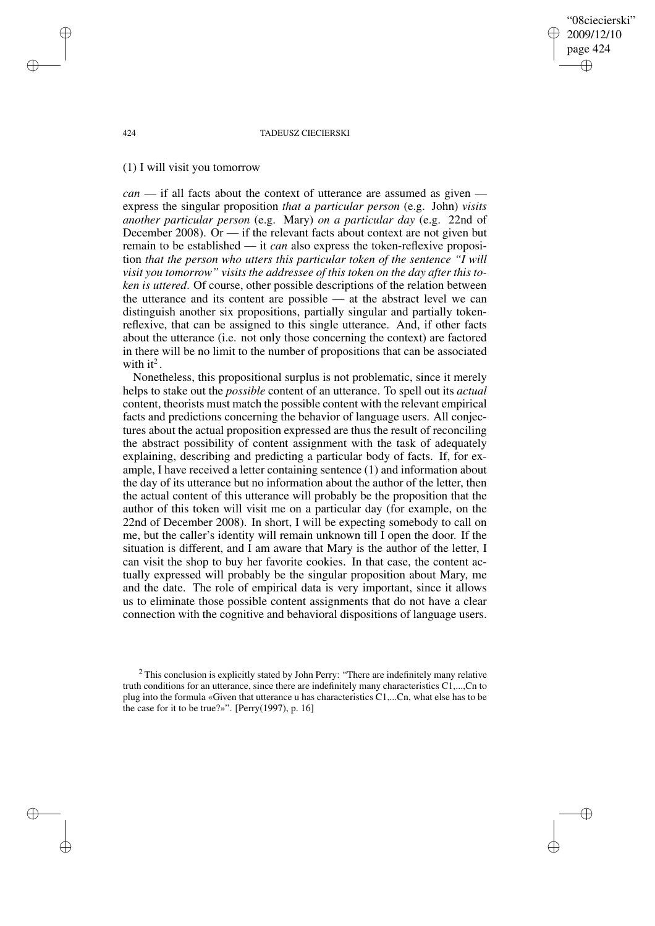"08ciecierski" 2009/12/10 page 424 ✐ ✐

✐

✐

#### 424 TADEUSZ CIECIERSKI

## (1) I will visit you tomorrow

*can* — if all facts about the context of utterance are assumed as given express the singular proposition *that a particular person* (e.g. John) *visits another particular person* (e.g. Mary) *on a particular day* (e.g. 22nd of December 2008). Or — if the relevant facts about context are not given but remain to be established — it *can* also express the token-reflexive proposition *that the person who utters this particular token of the sentence "I will visit you tomorrow" visits the addressee of this token on the day after this token is uttered*. Of course, other possible descriptions of the relation between the utterance and its content are possible — at the abstract level we can distinguish another six propositions, partially singular and partially tokenreflexive, that can be assigned to this single utterance. And, if other facts about the utterance (i.e. not only those concerning the context) are factored in there will be no limit to the number of propositions that can be associated with it<sup>2</sup>.

Nonetheless, this propositional surplus is not problematic, since it merely helps to stake out the *possible* content of an utterance. To spell out its *actual* content, theorists must match the possible content with the relevant empirical facts and predictions concerning the behavior of language users. All conjectures about the actual proposition expressed are thus the result of reconciling the abstract possibility of content assignment with the task of adequately explaining, describing and predicting a particular body of facts. If, for example, I have received a letter containing sentence (1) and information about the day of its utterance but no information about the author of the letter, then the actual content of this utterance will probably be the proposition that the author of this token will visit me on a particular day (for example, on the 22nd of December 2008). In short, I will be expecting somebody to call on me, but the caller's identity will remain unknown till I open the door. If the situation is different, and I am aware that Mary is the author of the letter, I can visit the shop to buy her favorite cookies. In that case, the content actually expressed will probably be the singular proposition about Mary, me and the date. The role of empirical data is very important, since it allows us to eliminate those possible content assignments that do not have a clear connection with the cognitive and behavioral dispositions of language users.

✐

✐

✐

<sup>2</sup> This conclusion is explicitly stated by John Perry: "There are indefinitely many relative truth conditions for an utterance, since there are indefinitely many characteristics C1,...,Cn to plug into the formula «Given that utterance u has characteristics C1,...Cn, what else has to be the case for it to be true?»". [Perry(1997), p. 16]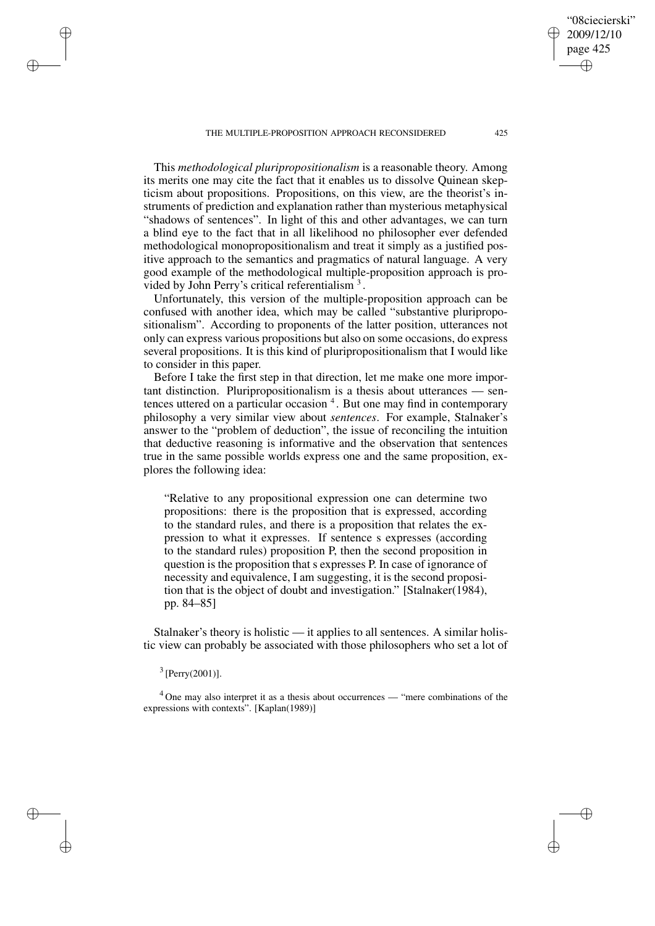This *methodological pluripropositionalism* is a reasonable theory. Among its merits one may cite the fact that it enables us to dissolve Quinean skepticism about propositions. Propositions, on this view, are the theorist's instruments of prediction and explanation rather than mysterious metaphysical "shadows of sentences". In light of this and other advantages, we can turn a blind eye to the fact that in all likelihood no philosopher ever defended methodological monopropositionalism and treat it simply as a justified positive approach to the semantics and pragmatics of natural language. A very good example of the methodological multiple-proposition approach is provided by John Perry's critical referentialism<sup>3</sup>.

Unfortunately, this version of the multiple-proposition approach can be confused with another idea, which may be called "substantive pluripropositionalism". According to proponents of the latter position, utterances not only can express various propositions but also on some occasions, do express several propositions. It is this kind of pluripropositionalism that I would like to consider in this paper.

Before I take the first step in that direction, let me make one more important distinction. Pluripropositionalism is a thesis about utterances — sentences uttered on a particular occasion <sup>4</sup>. But one may find in contemporary philosophy a very similar view about *sentences*. For example, Stalnaker's answer to the "problem of deduction", the issue of reconciling the intuition that deductive reasoning is informative and the observation that sentences true in the same possible worlds express one and the same proposition, explores the following idea:

"Relative to any propositional expression one can determine two propositions: there is the proposition that is expressed, according to the standard rules, and there is a proposition that relates the expression to what it expresses. If sentence s expresses (according to the standard rules) proposition P, then the second proposition in question is the proposition that s expresses P. In case of ignorance of necessity and equivalence, I am suggesting, it is the second proposition that is the object of doubt and investigation." [Stalnaker(1984), pp. 84–85]

Stalnaker's theory is holistic — it applies to all sentences. A similar holistic view can probably be associated with those philosophers who set a lot of

 $3$  [Perry(2001)].

✐

✐

✐

✐

<sup>4</sup> One may also interpret it as a thesis about occurrences — "mere combinations of the expressions with contexts". [Kaplan(1989)]

"08ciecierski" 2009/12/10 page 425

✐

✐

✐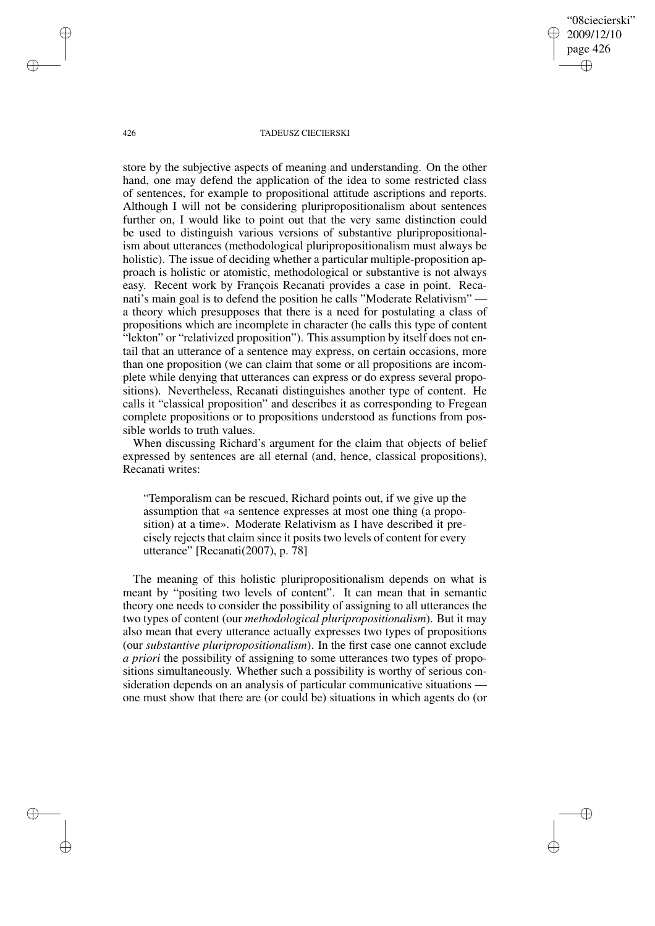"08ciecierski" 2009/12/10 page 426 ✐ ✐

✐

✐

### 426 TADEUSZ CIECIERSKI

store by the subjective aspects of meaning and understanding. On the other hand, one may defend the application of the idea to some restricted class of sentences, for example to propositional attitude ascriptions and reports. Although I will not be considering pluripropositionalism about sentences further on, I would like to point out that the very same distinction could be used to distinguish various versions of substantive pluripropositionalism about utterances (methodological pluripropositionalism must always be holistic). The issue of deciding whether a particular multiple-proposition approach is holistic or atomistic, methodological or substantive is not always easy. Recent work by François Recanati provides a case in point. Recanati's main goal is to defend the position he calls "Moderate Relativism" – a theory which presupposes that there is a need for postulating a class of propositions which are incomplete in character (he calls this type of content "lekton" or "relativized proposition"). This assumption by itself does not entail that an utterance of a sentence may express, on certain occasions, more than one proposition (we can claim that some or all propositions are incomplete while denying that utterances can express or do express several propositions). Nevertheless, Recanati distinguishes another type of content. He calls it "classical proposition" and describes it as corresponding to Fregean complete propositions or to propositions understood as functions from possible worlds to truth values.

When discussing Richard's argument for the claim that objects of belief expressed by sentences are all eternal (and, hence, classical propositions), Recanati writes:

"Temporalism can be rescued, Richard points out, if we give up the assumption that «a sentence expresses at most one thing (a proposition) at a time». Moderate Relativism as I have described it precisely rejects that claim since it posits two levels of content for every utterance" [Recanati(2007), p. 78]

The meaning of this holistic pluripropositionalism depends on what is meant by "positing two levels of content". It can mean that in semantic theory one needs to consider the possibility of assigning to all utterances the two types of content (our *methodological pluripropositionalism*). But it may also mean that every utterance actually expresses two types of propositions (our *substantive pluripropositionalism*). In the first case one cannot exclude *a priori* the possibility of assigning to some utterances two types of propositions simultaneously. Whether such a possibility is worthy of serious consideration depends on an analysis of particular communicative situations one must show that there are (or could be) situations in which agents do (or

✐

✐

✐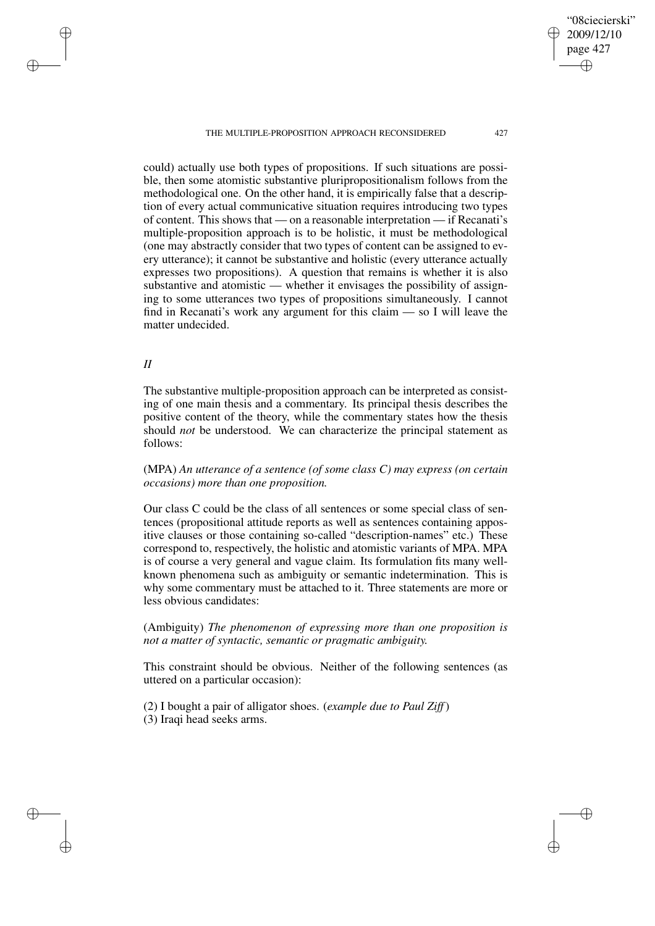"08ciecierski" 2009/12/10 page 427 ✐ ✐

✐

✐

could) actually use both types of propositions. If such situations are possible, then some atomistic substantive pluripropositionalism follows from the methodological one. On the other hand, it is empirically false that a description of every actual communicative situation requires introducing two types of content. This shows that — on a reasonable interpretation — if Recanati's multiple-proposition approach is to be holistic, it must be methodological (one may abstractly consider that two types of content can be assigned to every utterance); it cannot be substantive and holistic (every utterance actually expresses two propositions). A question that remains is whether it is also substantive and atomistic — whether it envisages the possibility of assigning to some utterances two types of propositions simultaneously. I cannot find in Recanati's work any argument for this claim — so I will leave the matter undecided.

## *II*

✐

✐

✐

✐

The substantive multiple-proposition approach can be interpreted as consisting of one main thesis and a commentary. Its principal thesis describes the positive content of the theory, while the commentary states how the thesis should *not* be understood. We can characterize the principal statement as follows:

(MPA) *An utterance of a sentence (of some class C) may express (on certain occasions) more than one proposition.*

Our class C could be the class of all sentences or some special class of sentences (propositional attitude reports as well as sentences containing appositive clauses or those containing so-called "description-names" etc.) These correspond to, respectively, the holistic and atomistic variants of MPA. MPA is of course a very general and vague claim. Its formulation fits many wellknown phenomena such as ambiguity or semantic indetermination. This is why some commentary must be attached to it. Three statements are more or less obvious candidates:

(Ambiguity) *The phenomenon of expressing more than one proposition is not a matter of syntactic, semantic or pragmatic ambiguity.*

This constraint should be obvious. Neither of the following sentences (as uttered on a particular occasion):

(2) I bought a pair of alligator shoes. (*example due to Paul Ziff*) (3) Iraqi head seeks arms.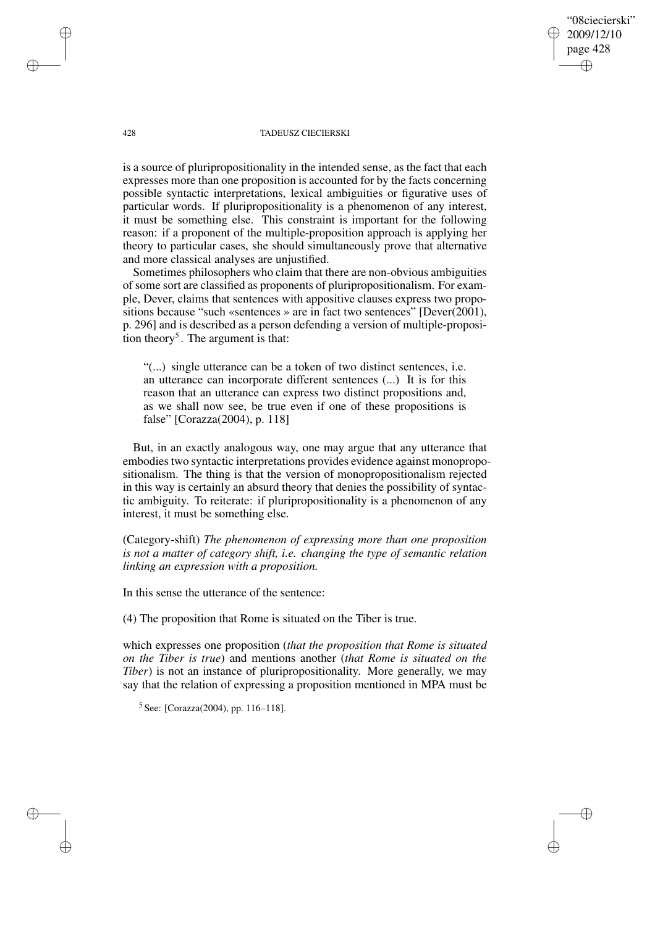"08ciecierski" 2009/12/10 page 428 ✐ ✐

✐

✐

### 428 TADEUSZ CIECIERSKI

is a source of pluripropositionality in the intended sense, as the fact that each expresses more than one proposition is accounted for by the facts concerning possible syntactic interpretations, lexical ambiguities or figurative uses of particular words. If pluripropositionality is a phenomenon of any interest, it must be something else. This constraint is important for the following reason: if a proponent of the multiple-proposition approach is applying her theory to particular cases, she should simultaneously prove that alternative and more classical analyses are unjustified.

Sometimes philosophers who claim that there are non-obvious ambiguities of some sort are classified as proponents of pluripropositionalism. For example, Dever, claims that sentences with appositive clauses express two propositions because "such «sentences » are in fact two sentences" [Dever(2001), p. 296] and is described as a person defending a version of multiple-proposition theory<sup>5</sup>. The argument is that:

"(...) single utterance can be a token of two distinct sentences, i.e. an utterance can incorporate different sentences (...) It is for this reason that an utterance can express two distinct propositions and, as we shall now see, be true even if one of these propositions is false" [Corazza(2004), p. 118]

But, in an exactly analogous way, one may argue that any utterance that embodies two syntactic interpretations provides evidence against monopropositionalism. The thing is that the version of monopropositionalism rejected in this way is certainly an absurd theory that denies the possibility of syntactic ambiguity. To reiterate: if pluripropositionality is a phenomenon of any interest, it must be something else.

(Category-shift) *The phenomenon of expressing more than one proposition is not a matter of category shift, i.e. changing the type of semantic relation linking an expression with a proposition.*

In this sense the utterance of the sentence:

(4) The proposition that Rome is situated on the Tiber is true.

which expresses one proposition (*that the proposition that Rome is situated on the Tiber is true*) and mentions another (*that Rome is situated on the Tiber*) is not an instance of pluripropositionality. More generally, we may say that the relation of expressing a proposition mentioned in MPA must be

5 See: [Corazza(2004), pp. 116–118].

✐

✐

✐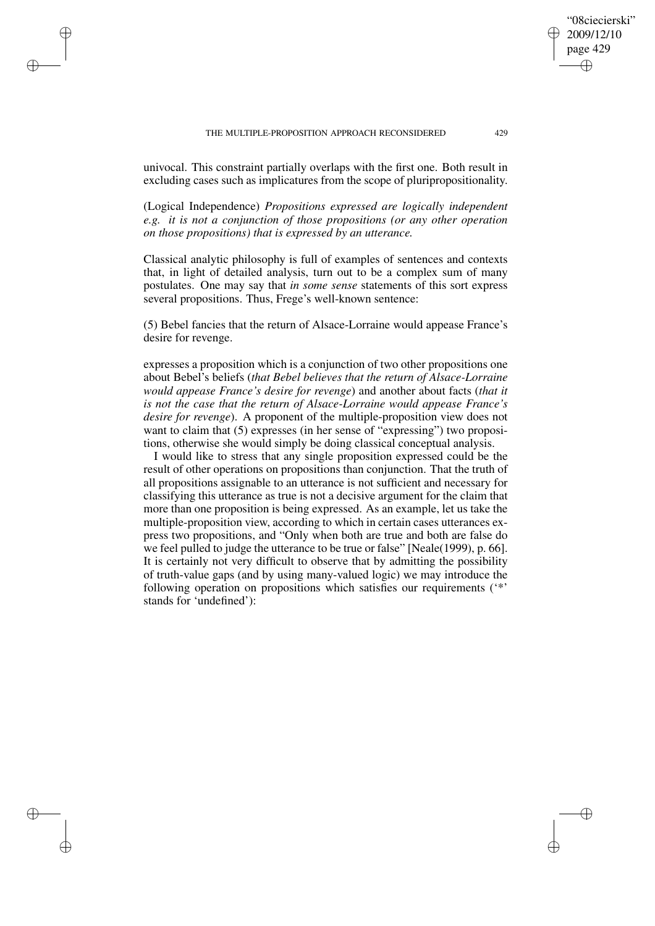✐

✐

✐

✐

univocal. This constraint partially overlaps with the first one. Both result in excluding cases such as implicatures from the scope of pluripropositionality.

(Logical Independence) *Propositions expressed are logically independent e.g. it is not a conjunction of those propositions (or any other operation on those propositions) that is expressed by an utterance.*

Classical analytic philosophy is full of examples of sentences and contexts that, in light of detailed analysis, turn out to be a complex sum of many postulates. One may say that *in some sense* statements of this sort express several propositions. Thus, Frege's well-known sentence:

(5) Bebel fancies that the return of Alsace-Lorraine would appease France's desire for revenge.

expresses a proposition which is a conjunction of two other propositions one about Bebel's beliefs (*that Bebel believes that the return of Alsace-Lorraine would appease France's desire for revenge*) and another about facts (*that it is not the case that the return of Alsace-Lorraine would appease France's desire for revenge*). A proponent of the multiple-proposition view does not want to claim that (5) expresses (in her sense of "expressing") two propositions, otherwise she would simply be doing classical conceptual analysis.

I would like to stress that any single proposition expressed could be the result of other operations on propositions than conjunction. That the truth of all propositions assignable to an utterance is not sufficient and necessary for classifying this utterance as true is not a decisive argument for the claim that more than one proposition is being expressed. As an example, let us take the multiple-proposition view, according to which in certain cases utterances express two propositions, and "Only when both are true and both are false do we feel pulled to judge the utterance to be true or false" [Neale(1999), p. 66]. It is certainly not very difficult to observe that by admitting the possibility of truth-value gaps (and by using many-valued logic) we may introduce the following operation on propositions which satisfies our requirements ('\*' stands for 'undefined'):

"08ciecierski" 2009/12/10 page 429

✐

✐

✐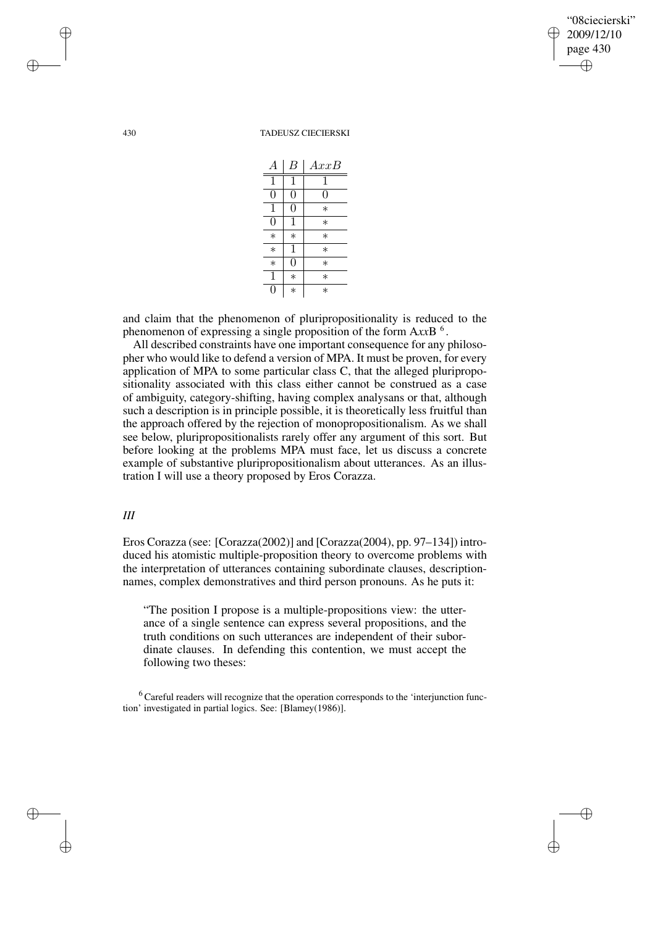✐

✐

430 TADEUSZ CIECIERSKI

| А                | В      | AxxB   |
|------------------|--------|--------|
| 1                | 1      | 1      |
| 0                | 0      | 0      |
| 1                | U      | $\ast$ |
| 0                |        | $\ast$ |
| $\ast$           | $\ast$ | $\ast$ |
| $\ast$           | 1      | $\ast$ |
| $\ast$           | O)     | $\ast$ |
| $\mathbf{1}$     | $\ast$ | $\ast$ |
| $\left( \right)$ | $\ast$ | $\ast$ |

and claim that the phenomenon of pluripropositionality is reduced to the phenomenon of expressing a single proposition of the form A*xx*B 6 .

All described constraints have one important consequence for any philosopher who would like to defend a version of MPA. It must be proven, for every application of MPA to some particular class C, that the alleged pluripropositionality associated with this class either cannot be construed as a case of ambiguity, category-shifting, having complex analysans or that, although such a description is in principle possible, it is theoretically less fruitful than the approach offered by the rejection of monopropositionalism. As we shall see below, pluripropositionalists rarely offer any argument of this sort. But before looking at the problems MPA must face, let us discuss a concrete example of substantive pluripropositionalism about utterances. As an illustration I will use a theory proposed by Eros Corazza.

# *III*

Eros Corazza (see: [Corazza(2002)] and [Corazza(2004), pp. 97–134]) introduced his atomistic multiple-proposition theory to overcome problems with the interpretation of utterances containing subordinate clauses, descriptionnames, complex demonstratives and third person pronouns. As he puts it:

"The position I propose is a multiple-propositions view: the utterance of a single sentence can express several propositions, and the truth conditions on such utterances are independent of their subordinate clauses. In defending this contention, we must accept the following two theses:

<sup>6</sup> Careful readers will recognize that the operation corresponds to the 'interjunction function' investigated in partial logics. See: [Blamey(1986)].

✐

✐

✐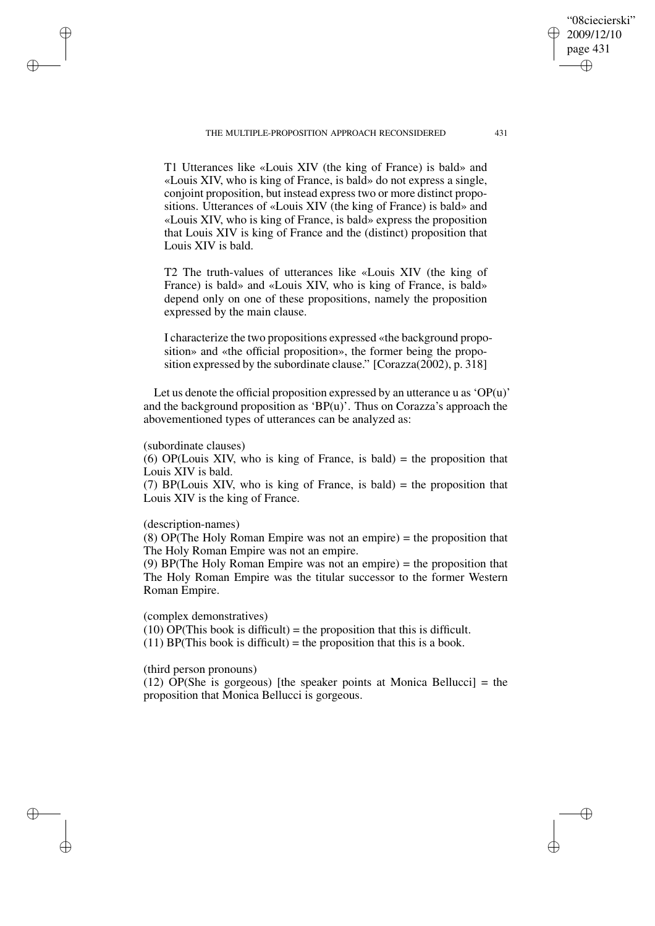T1 Utterances like «Louis XIV (the king of France) is bald» and «Louis XIV, who is king of France, is bald» do not express a single, conjoint proposition, but instead express two or more distinct propositions. Utterances of «Louis XIV (the king of France) is bald» and «Louis XIV, who is king of France, is bald» express the proposition that Louis XIV is king of France and the (distinct) proposition that

T2 The truth-values of utterances like «Louis XIV (the king of France) is bald» and «Louis XIV, who is king of France, is bald» depend only on one of these propositions, namely the proposition expressed by the main clause.

I characterize the two propositions expressed «the background proposition» and «the official proposition», the former being the proposition expressed by the subordinate clause." [Corazza(2002), p. 318]

Let us denote the official proposition expressed by an utterance u as 'OP $(u)$ ' and the background proposition as 'BP $(u)$ '. Thus on Corazza's approach the abovementioned types of utterances can be analyzed as:

### (subordinate clauses)

Louis XIV is bald.

✐

✐

✐

✐

(6) OP(Louis XIV, who is king of France, is bald)  $=$  the proposition that Louis XIV is bald.

(7) BP(Louis XIV, who is king of France, is bald) = the proposition that Louis XIV is the king of France.

### (description-names)

(8) OP(The Holy Roman Empire was not an empire) = the proposition that The Holy Roman Empire was not an empire.

(9) BP(The Holy Roman Empire was not an empire) = the proposition that The Holy Roman Empire was the titular successor to the former Western Roman Empire.

### (complex demonstratives)

(10)  $\overrightarrow{OP}$ (This book is difficult) = the proposition that this is difficult. (11) BP(This book is difficult) = the proposition that this is a book.

(third person pronouns)

(12) OP(She is gorgeous) [the speaker points at Monica Bellucci] = the proposition that Monica Bellucci is gorgeous.

"08ciecierski" 2009/12/10 page 431

✐

✐

✐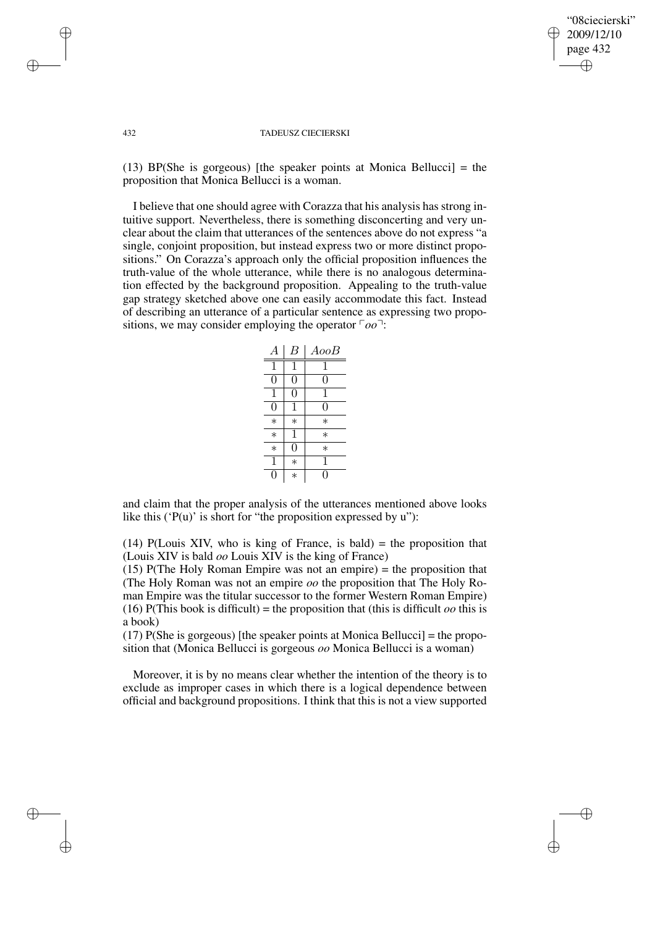### "08ciecierski" 2009/12/10 page 432 ✐ ✐

✐

✐

#### 432 TADEUSZ CIECIERSKI

(13) BP(She is gorgeous) [the speaker points at Monica Bellucci] = the proposition that Monica Bellucci is a woman.

I believe that one should agree with Corazza that his analysis has strong intuitive support. Nevertheless, there is something disconcerting and very unclear about the claim that utterances of the sentences above do not express "a single, conjoint proposition, but instead express two or more distinct propositions." On Corazza's approach only the official proposition influences the truth-value of the whole utterance, while there is no analogous determination effected by the background proposition. Appealing to the truth-value gap strategy sketched above one can easily accommodate this fact. Instead of describing an utterance of a particular sentence as expressing two propositions, we may consider employing the operator  $\lceil oo\rceil$ :



and claim that the proper analysis of the utterances mentioned above looks like this ( $P(u)$ ' is short for "the proposition expressed by u"):

(14) P(Louis XIV, who is king of France, is bald)  $=$  the proposition that (Louis XIV is bald *oo* Louis XIV is the king of France)

(15) P(The Holy Roman Empire was not an empire) = the proposition that (The Holy Roman was not an empire *oo* the proposition that The Holy Roman Empire was the titular successor to the former Western Roman Empire) (16) P(This book is difficult) = the proposition that (this is difficult *oo* this is a book)

(17)  $P(She is gorgeous)$  [the speaker points at Monica Bellucci] = the proposition that (Monica Bellucci is gorgeous *oo* Monica Bellucci is a woman)

Moreover, it is by no means clear whether the intention of the theory is to exclude as improper cases in which there is a logical dependence between official and background propositions. I think that this is not a view supported

✐

✐

✐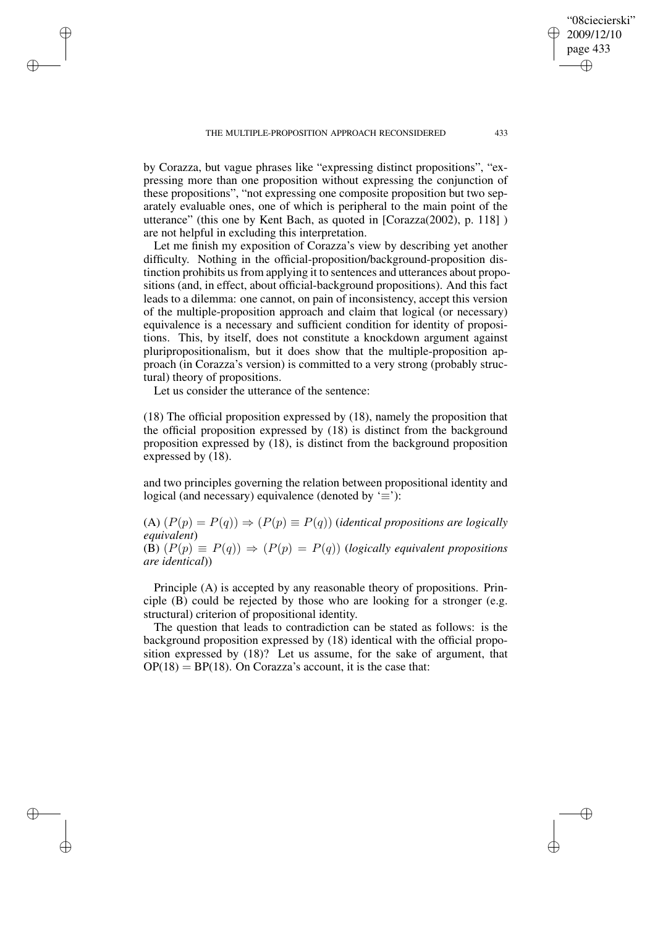by Corazza, but vague phrases like "expressing distinct propositions", "expressing more than one proposition without expressing the conjunction of these propositions", "not expressing one composite proposition but two separately evaluable ones, one of which is peripheral to the main point of the utterance" (this one by Kent Bach, as quoted in [Corazza(2002), p. 118] ) are not helpful in excluding this interpretation.

Let me finish my exposition of Corazza's view by describing yet another difficulty. Nothing in the official-proposition/background-proposition distinction prohibits us from applying it to sentences and utterances about propositions (and, in effect, about official-background propositions). And this fact leads to a dilemma: one cannot, on pain of inconsistency, accept this version of the multiple-proposition approach and claim that logical (or necessary) equivalence is a necessary and sufficient condition for identity of propositions. This, by itself, does not constitute a knockdown argument against pluripropositionalism, but it does show that the multiple-proposition approach (in Corazza's version) is committed to a very strong (probably structural) theory of propositions.

Let us consider the utterance of the sentence:

✐

✐

✐

✐

(18) The official proposition expressed by (18), namely the proposition that the official proposition expressed by (18) is distinct from the background proposition expressed by (18), is distinct from the background proposition expressed by (18).

and two principles governing the relation between propositional identity and logical (and necessary) equivalence (denoted by  $\equiv$ ):

(A)  $(P(p) = P(q)) \Rightarrow (P(p) \equiv P(q))$  (*identical propositions are logically equivalent*) (B)  $(P(p) \equiv P(q)) \Rightarrow (P(p) = P(q))$  (*logically equivalent propositions are identical*))

Principle (A) is accepted by any reasonable theory of propositions. Principle (B) could be rejected by those who are looking for a stronger (e.g. structural) criterion of propositional identity.

The question that leads to contradiction can be stated as follows: is the background proposition expressed by (18) identical with the official proposition expressed by (18)? Let us assume, for the sake of argument, that  $OP(18) = BP(18)$ . On Corazza's account, it is the case that:

"08ciecierski" 2009/12/10 page 433

✐

✐

✐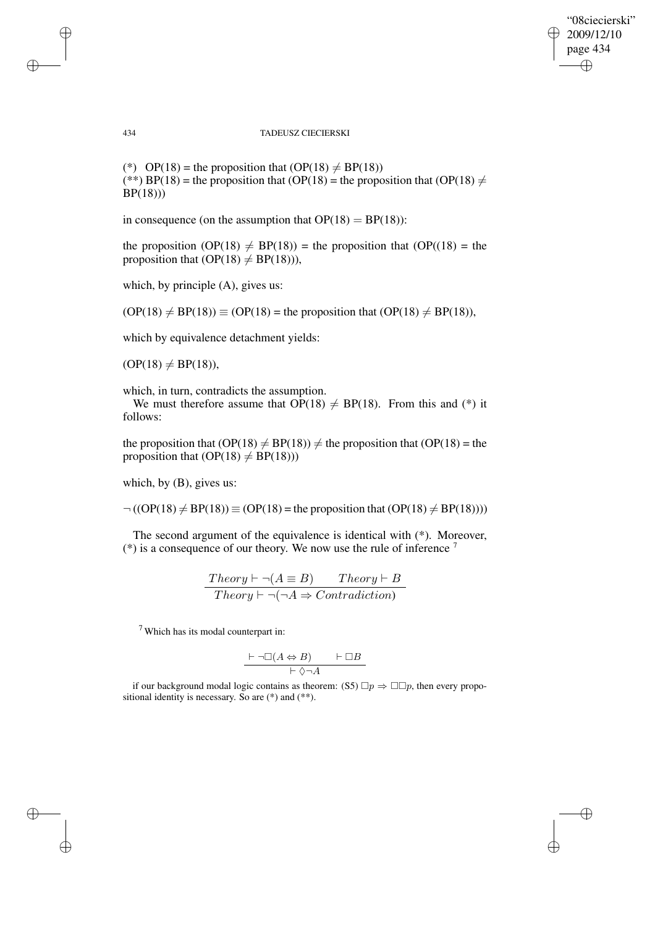✐

✐

434 TADEUSZ CIECIERSKI

(\*) OP(18) = the proposition that  $(OP(18) \neq BP(18))$ (\*\*) BP(18) = the proposition that (OP(18) = the proposition that (OP(18)  $\neq$ BP(18)))

in consequence (on the assumption that  $OP(18) = BP(18)$ ):

the proposition  $OP(18) \neq BP(18)$  = the proposition that  $OP((18) =$  the proposition that  $OP(18) \neq BP(18)$ ),

which, by principle  $(A)$ , gives us:

 $(OP(18) \neq BP(18)) \equiv (OP(18)$  = the proposition that  $OP(18) \neq BP(18)$ ,

which by equivalence detachment yields:

 $(OP(18) \neq BP(18)),$ 

which, in turn, contradicts the assumption.

We must therefore assume that  $\overrightarrow{OP}(18) \neq BP(18)$ . From this and (\*) it follows:

the proposition that  $OP(18) \neq BP(18)$ )  $\neq$  the proposition that  $OP(18)$  = the proposition that  $(OP(18) \neq BP(18))$ 

which, by (B), gives us:

 $\neg ((OP(18) \neq BP(18)) \equiv (OP(18) =$  the proposition that  $OP(18) \neq BP(18))$ )

The second argument of the equivalence is identical with (\*). Moreover,  $(*)$  is a consequence of our theory. We now use the rule of inference  $<sup>7</sup>$ </sup>

$$
\frac{Theory \vdash \neg(A \equiv B) \qquad Theory \vdash B}{Theory \vdash \neg(\neg A \Rightarrow Contradiction)}
$$

<sup>7</sup> Which has its modal counterpart in:

$$
\frac{\vdash \neg \Box(A \Leftrightarrow B) \qquad \vdash \Box B}{\vdash \Diamond \neg A}
$$

if our background modal logic contains as theorem: (S5)  $\Box p \Rightarrow \Box \Box p$ , then every propositional identity is necessary. So are (\*) and (\*\*).

✐

✐

✐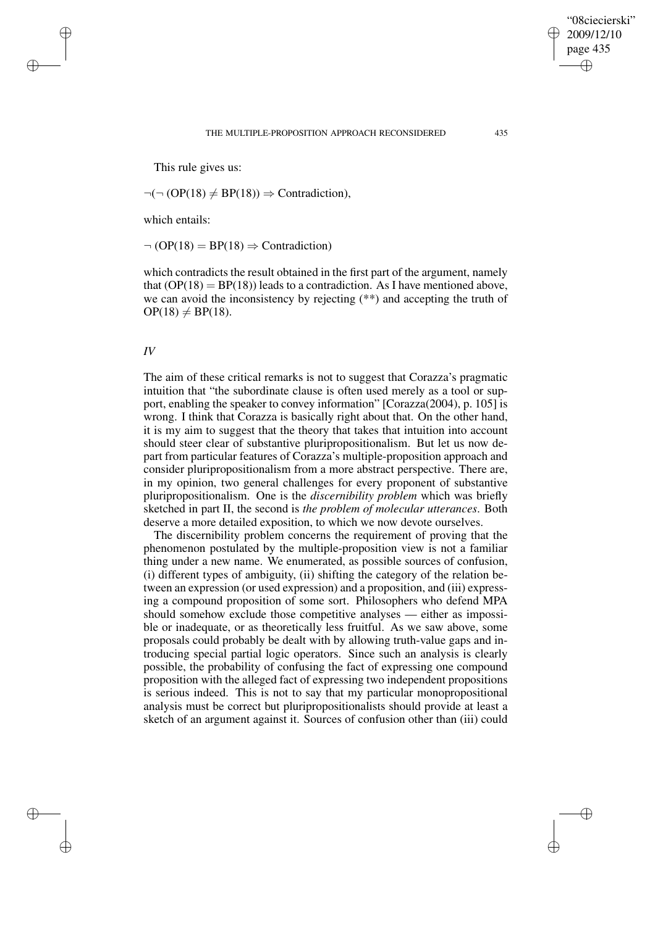This rule gives us:

 $\neg(\neg (OP(18) \neq BP(18)) \Rightarrow$  Contradiction),

which entails:

 $\neg (OP(18) = BP(18) \Rightarrow Contraction)$ 

which contradicts the result obtained in the first part of the argument, namely that  $(OP(18) = BP(18))$  leads to a contradiction. As I have mentioned above, we can avoid the inconsistency by rejecting (\*\*) and accepting the truth of  $OP(18) \neq BP(18).$ 

## *IV*

✐

✐

✐

✐

The aim of these critical remarks is not to suggest that Corazza's pragmatic intuition that "the subordinate clause is often used merely as a tool or support, enabling the speaker to convey information" [Corazza(2004), p. 105] is wrong. I think that Corazza is basically right about that. On the other hand, it is my aim to suggest that the theory that takes that intuition into account should steer clear of substantive pluripropositionalism. But let us now depart from particular features of Corazza's multiple-proposition approach and consider pluripropositionalism from a more abstract perspective. There are, in my opinion, two general challenges for every proponent of substantive pluripropositionalism. One is the *discernibility problem* which was briefly sketched in part II, the second is *the problem of molecular utterances*. Both deserve a more detailed exposition, to which we now devote ourselves.

The discernibility problem concerns the requirement of proving that the phenomenon postulated by the multiple-proposition view is not a familiar thing under a new name. We enumerated, as possible sources of confusion, (i) different types of ambiguity, (ii) shifting the category of the relation between an expression (or used expression) and a proposition, and (iii) expressing a compound proposition of some sort. Philosophers who defend MPA should somehow exclude those competitive analyses — either as impossible or inadequate, or as theoretically less fruitful. As we saw above, some proposals could probably be dealt with by allowing truth-value gaps and introducing special partial logic operators. Since such an analysis is clearly possible, the probability of confusing the fact of expressing one compound proposition with the alleged fact of expressing two independent propositions is serious indeed. This is not to say that my particular monopropositional analysis must be correct but pluripropositionalists should provide at least a sketch of an argument against it. Sources of confusion other than (iii) could

"08ciecierski" 2009/12/10 page 435

✐

✐

✐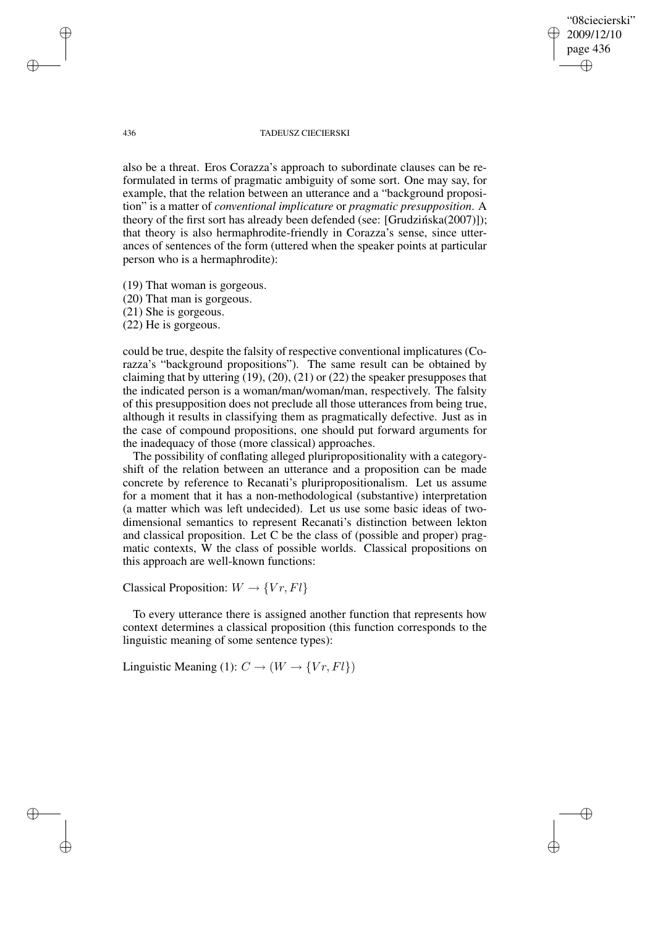"08ciecierski" 2009/12/10 page 436 ✐ ✐

✐

✐

### 436 TADEUSZ CIECIERSKI

also be a threat. Eros Corazza's approach to subordinate clauses can be reformulated in terms of pragmatic ambiguity of some sort. One may say, for example, that the relation between an utterance and a "background proposition" is a matter of *conventional implicature* or *pragmatic presupposition*. A theory of the first sort has already been defended (see: [Grudzińska $(2007)$ ]); that theory is also hermaphrodite-friendly in Corazza's sense, since utterances of sentences of the form (uttered when the speaker points at particular person who is a hermaphrodite):

(19) That woman is gorgeous.

(20) That man is gorgeous.

(21) She is gorgeous.

(22) He is gorgeous.

could be true, despite the falsity of respective conventional implicatures (Corazza's "background propositions"). The same result can be obtained by claiming that by uttering (19), (20), (21) or (22) the speaker presupposes that the indicated person is a woman/man/woman/man, respectively. The falsity of this presupposition does not preclude all those utterances from being true, although it results in classifying them as pragmatically defective. Just as in the case of compound propositions, one should put forward arguments for the inadequacy of those (more classical) approaches.

The possibility of conflating alleged pluripropositionality with a categoryshift of the relation between an utterance and a proposition can be made concrete by reference to Recanati's pluripropositionalism. Let us assume for a moment that it has a non-methodological (substantive) interpretation (a matter which was left undecided). Let us use some basic ideas of twodimensional semantics to represent Recanati's distinction between lekton and classical proposition. Let C be the class of (possible and proper) pragmatic contexts, W the class of possible worlds. Classical propositions on this approach are well-known functions:

Classical Proposition:  $W \rightarrow \{Vr, Fl\}$ 

To every utterance there is assigned another function that represents how context determines a classical proposition (this function corresponds to the linguistic meaning of some sentence types):

Linguistic Meaning (1):  $C \rightarrow (W \rightarrow \{Vr, Fl\})$ 

✐

✐

✐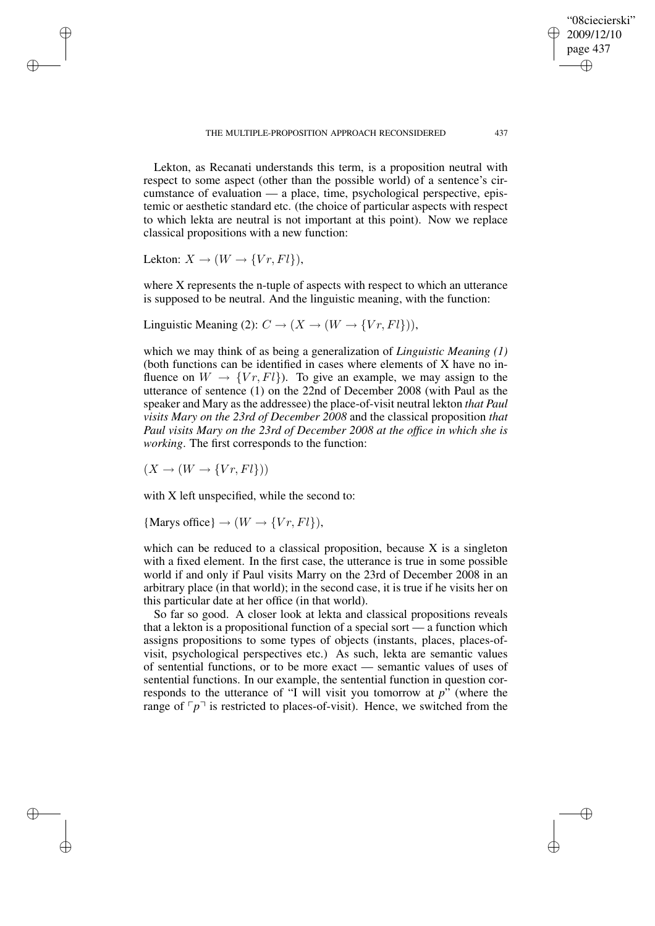Lekton, as Recanati understands this term, is a proposition neutral with respect to some aspect (other than the possible world) of a sentence's circumstance of evaluation — a place, time, psychological perspective, epistemic or aesthetic standard etc. (the choice of particular aspects with respect to which lekta are neutral is not important at this point). Now we replace classical propositions with a new function:

Lekton:  $X \to (W \to \{Vr, Fl\})$ ,

✐

✐

✐

✐

where X represents the n-tuple of aspects with respect to which an utterance is supposed to be neutral. And the linguistic meaning, with the function:

Linguistic Meaning (2):  $C \rightarrow (X \rightarrow (W \rightarrow \{Vr, Fl\})),$ 

which we may think of as being a generalization of *Linguistic Meaning (1)* (both functions can be identified in cases where elements of X have no influence on  $W \to \{V_r, Fl\}$ ). To give an example, we may assign to the utterance of sentence (1) on the 22nd of December 2008 (with Paul as the speaker and Mary as the addressee) the place-of-visit neutral lekton *that Paul visits Mary on the 23rd of December 2008* and the classical proposition *that Paul visits Mary on the 23rd of December 2008 at the office in which she is working*. The first corresponds to the function:

 $(X \rightarrow (W \rightarrow \{Vr, Fl\}))$ 

with X left unspecified, while the second to:

{Marys office}  $\rightarrow (W \rightarrow \{Vr, Fl\}),$ 

which can be reduced to a classical proposition, because X is a singleton with a fixed element. In the first case, the utterance is true in some possible world if and only if Paul visits Marry on the 23rd of December 2008 in an arbitrary place (in that world); in the second case, it is true if he visits her on this particular date at her office (in that world).

So far so good. A closer look at lekta and classical propositions reveals that a lekton is a propositional function of a special sort — a function which assigns propositions to some types of objects (instants, places, places-ofvisit, psychological perspectives etc.) As such, lekta are semantic values of sentential functions, or to be more exact — semantic values of uses of sentential functions. In our example, the sentential function in question corresponds to the utterance of "I will visit you tomorrow at  $p$ <sup>"</sup> (where the range of  $\lceil p \rceil$  is restricted to places-of-visit). Hence, we switched from the

"08ciecierski" 2009/12/10 page 437

✐

✐

✐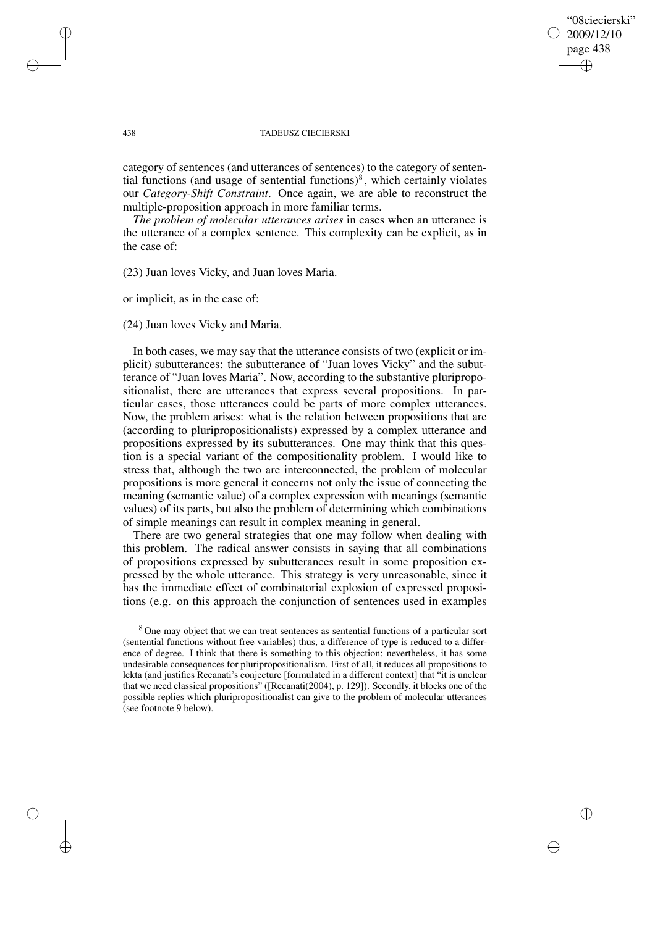### "08ciecierski" 2009/12/10 page 438 ✐ ✐

✐

✐

### 438 TADEUSZ CIECIERSKI

category of sentences (and utterances of sentences) to the category of sentential functions (and usage of sentential functions) $\delta$ , which certainly violates our *Category-Shift Constraint*. Once again, we are able to reconstruct the multiple-proposition approach in more familiar terms.

*The problem of molecular utterances arises* in cases when an utterance is the utterance of a complex sentence. This complexity can be explicit, as in the case of:

(23) Juan loves Vicky, and Juan loves Maria.

or implicit, as in the case of:

(24) Juan loves Vicky and Maria.

In both cases, we may say that the utterance consists of two (explicit or implicit) subutterances: the subutterance of "Juan loves Vicky" and the subutterance of "Juan loves Maria". Now, according to the substantive pluripropositionalist, there are utterances that express several propositions. In particular cases, those utterances could be parts of more complex utterances. Now, the problem arises: what is the relation between propositions that are (according to pluripropositionalists) expressed by a complex utterance and propositions expressed by its subutterances. One may think that this question is a special variant of the compositionality problem. I would like to stress that, although the two are interconnected, the problem of molecular propositions is more general it concerns not only the issue of connecting the meaning (semantic value) of a complex expression with meanings (semantic values) of its parts, but also the problem of determining which combinations of simple meanings can result in complex meaning in general.

There are two general strategies that one may follow when dealing with this problem. The radical answer consists in saying that all combinations of propositions expressed by subutterances result in some proposition expressed by the whole utterance. This strategy is very unreasonable, since it has the immediate effect of combinatorial explosion of expressed propositions (e.g. on this approach the conjunction of sentences used in examples

✐

✐

✐

<sup>8</sup> One may object that we can treat sentences as sentential functions of a particular sort (sentential functions without free variables) thus, a difference of type is reduced to a difference of degree. I think that there is something to this objection; nevertheless, it has some undesirable consequences for pluripropositionalism. First of all, it reduces all propositions to lekta (and justifies Recanati's conjecture [formulated in a different context] that "it is unclear that we need classical propositions" ([Recanati(2004), p. 129]). Secondly, it blocks one of the possible replies which pluripropositionalist can give to the problem of molecular utterances (see footnote 9 below).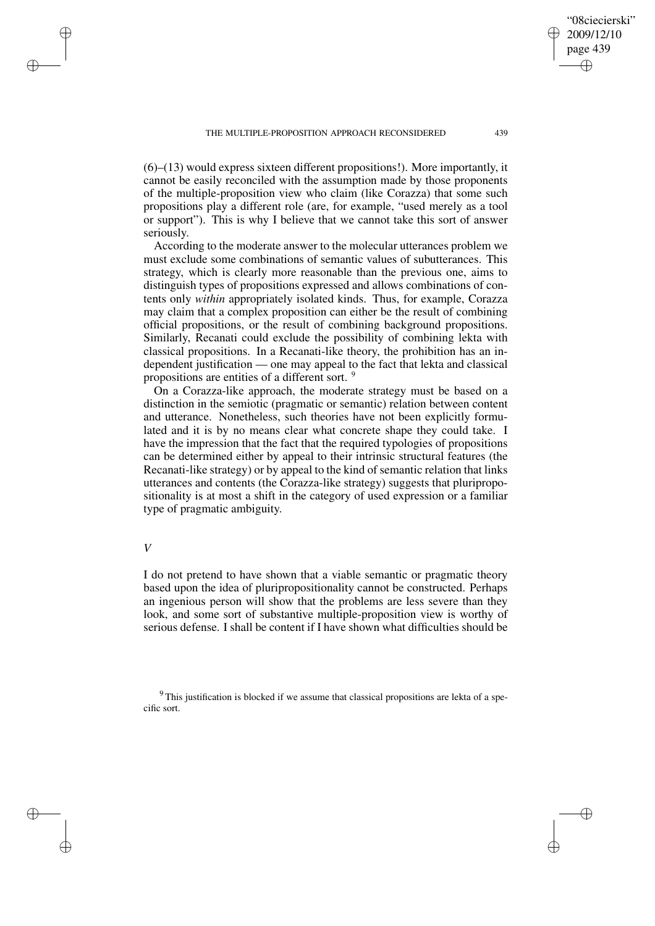(6)–(13) would express sixteen different propositions!). More importantly, it cannot be easily reconciled with the assumption made by those proponents of the multiple-proposition view who claim (like Corazza) that some such propositions play a different role (are, for example, "used merely as a tool or support"). This is why I believe that we cannot take this sort of answer seriously.

According to the moderate answer to the molecular utterances problem we must exclude some combinations of semantic values of subutterances. This strategy, which is clearly more reasonable than the previous one, aims to distinguish types of propositions expressed and allows combinations of contents only *within* appropriately isolated kinds. Thus, for example, Corazza may claim that a complex proposition can either be the result of combining official propositions, or the result of combining background propositions. Similarly, Recanati could exclude the possibility of combining lekta with classical propositions. In a Recanati-like theory, the prohibition has an independent justification — one may appeal to the fact that lekta and classical propositions are entities of a different sort. <sup>9</sup>

On a Corazza-like approach, the moderate strategy must be based on a distinction in the semiotic (pragmatic or semantic) relation between content and utterance. Nonetheless, such theories have not been explicitly formulated and it is by no means clear what concrete shape they could take. I have the impression that the fact that the required typologies of propositions can be determined either by appeal to their intrinsic structural features (the Recanati-like strategy) or by appeal to the kind of semantic relation that links utterances and contents (the Corazza-like strategy) suggests that pluripropositionality is at most a shift in the category of used expression or a familiar type of pragmatic ambiguity.

# *V*

✐

✐

✐

✐

I do not pretend to have shown that a viable semantic or pragmatic theory based upon the idea of pluripropositionality cannot be constructed. Perhaps an ingenious person will show that the problems are less severe than they look, and some sort of substantive multiple-proposition view is worthy of serious defense. I shall be content if I have shown what difficulties should be

<sup>9</sup> This justification is blocked if we assume that classical propositions are lekta of a specific sort.

"08ciecierski" 2009/12/10 page 439

✐

✐

✐